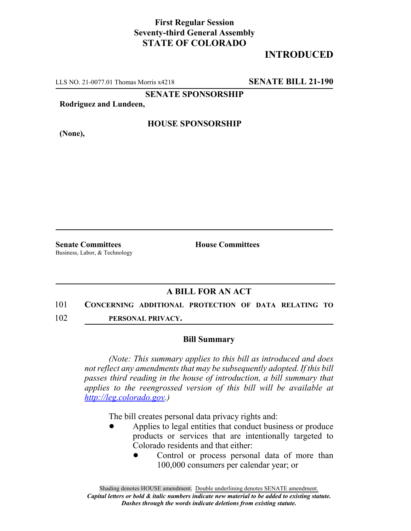## **First Regular Session Seventy-third General Assembly STATE OF COLORADO**

# **INTRODUCED**

LLS NO. 21-0077.01 Thomas Morris x4218 **SENATE BILL 21-190**

**SENATE SPONSORSHIP**

**Rodriguez and Lundeen,**

**HOUSE SPONSORSHIP**

**(None),**

**Senate Committees House Committees** Business, Labor, & Technology

### **A BILL FOR AN ACT**

#### 101 **CONCERNING ADDITIONAL PROTECTION OF DATA RELATING TO**

102 **PERSONAL PRIVACY.**

#### **Bill Summary**

*(Note: This summary applies to this bill as introduced and does not reflect any amendments that may be subsequently adopted. If this bill passes third reading in the house of introduction, a bill summary that applies to the reengrossed version of this bill will be available at http://leg.colorado.gov.)*

The bill creates personal data privacy rights and:

- Applies to legal entities that conduct business or produce products or services that are intentionally targeted to Colorado residents and that either:
	- Control or process personal data of more than 100,000 consumers per calendar year; or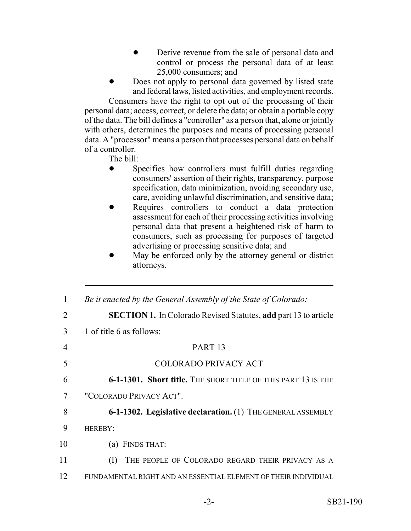- Derive revenue from the sale of personal data and control or process the personal data of at least 25,000 consumers; and
- Does not apply to personal data governed by listed state and federal laws, listed activities, and employment records.

Consumers have the right to opt out of the processing of their personal data; access, correct, or delete the data; or obtain a portable copy of the data. The bill defines a "controller" as a person that, alone or jointly with others, determines the purposes and means of processing personal data. A "processor" means a person that processes personal data on behalf of a controller.

The bill:

- Specifies how controllers must fulfill duties regarding consumers' assertion of their rights, transparency, purpose specification, data minimization, avoiding secondary use, care, avoiding unlawful discrimination, and sensitive data;
- Requires controllers to conduct a data protection assessment for each of their processing activities involving personal data that present a heightened risk of harm to consumers, such as processing for purposes of targeted advertising or processing sensitive data; and
- May be enforced only by the attorney general or district attorneys.

| 1              | Be it enacted by the General Assembly of the State of Colorado:        |
|----------------|------------------------------------------------------------------------|
| $\overline{2}$ | <b>SECTION 1.</b> In Colorado Revised Statutes, add part 13 to article |
| 3              | 1 of title 6 as follows:                                               |
| 4              | PART <sub>13</sub>                                                     |
| 5              | COLORADO PRIVACY ACT                                                   |
| 6              | 6-1-1301. Short title. THE SHORT TITLE OF THIS PART 13 IS THE          |
| 7              | "COLORADO PRIVACY ACT".                                                |
| 8              | 6-1-1302. Legislative declaration. (1) THE GENERAL ASSEMBLY            |
| 9              | <b>HEREBY:</b>                                                         |
| 10             | FINDS THAT:<br>(a)                                                     |
| 11             | THE PEOPLE OF COLORADO REGARD THEIR PRIVACY AS A<br>(1)                |
| 12             | FUNDAMENTAL RIGHT AND AN ESSENTIAL ELEMENT OF THEIR INDIVIDUAL         |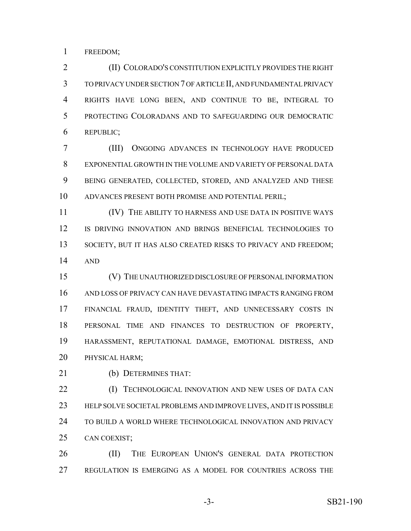FREEDOM;

 (II) COLORADO'S CONSTITUTION EXPLICITLY PROVIDES THE RIGHT TO PRIVACY UNDER SECTION 7 OF ARTICLE II, AND FUNDAMENTAL PRIVACY RIGHTS HAVE LONG BEEN, AND CONTINUE TO BE, INTEGRAL TO PROTECTING COLORADANS AND TO SAFEGUARDING OUR DEMOCRATIC REPUBLIC;

 (III) ONGOING ADVANCES IN TECHNOLOGY HAVE PRODUCED EXPONENTIAL GROWTH IN THE VOLUME AND VARIETY OF PERSONAL DATA BEING GENERATED, COLLECTED, STORED, AND ANALYZED AND THESE ADVANCES PRESENT BOTH PROMISE AND POTENTIAL PERIL;

 (IV) THE ABILITY TO HARNESS AND USE DATA IN POSITIVE WAYS IS DRIVING INNOVATION AND BRINGS BENEFICIAL TECHNOLOGIES TO 13 SOCIETY, BUT IT HAS ALSO CREATED RISKS TO PRIVACY AND FREEDOM; AND

 (V) THE UNAUTHORIZED DISCLOSURE OF PERSONAL INFORMATION AND LOSS OF PRIVACY CAN HAVE DEVASTATING IMPACTS RANGING FROM FINANCIAL FRAUD, IDENTITY THEFT, AND UNNECESSARY COSTS IN PERSONAL TIME AND FINANCES TO DESTRUCTION OF PROPERTY, HARASSMENT, REPUTATIONAL DAMAGE, EMOTIONAL DISTRESS, AND PHYSICAL HARM;

(b) DETERMINES THAT:

**(I) TECHNOLOGICAL INNOVATION AND NEW USES OF DATA CAN**  HELP SOLVE SOCIETAL PROBLEMS AND IMPROVE LIVES, AND IT IS POSSIBLE TO BUILD A WORLD WHERE TECHNOLOGICAL INNOVATION AND PRIVACY CAN COEXIST;

 (II) THE EUROPEAN UNION'S GENERAL DATA PROTECTION REGULATION IS EMERGING AS A MODEL FOR COUNTRIES ACROSS THE

-3- SB21-190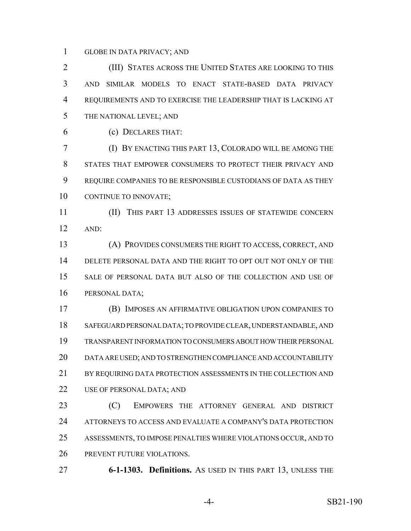GLOBE IN DATA PRIVACY; AND

 (III) STATES ACROSS THE UNITED STATES ARE LOOKING TO THIS AND SIMILAR MODELS TO ENACT STATE-BASED DATA PRIVACY REQUIREMENTS AND TO EXERCISE THE LEADERSHIP THAT IS LACKING AT THE NATIONAL LEVEL; AND

(c) DECLARES THAT:

 (I) BY ENACTING THIS PART 13, COLORADO WILL BE AMONG THE STATES THAT EMPOWER CONSUMERS TO PROTECT THEIR PRIVACY AND REQUIRE COMPANIES TO BE RESPONSIBLE CUSTODIANS OF DATA AS THEY 10 CONTINUE TO INNOVATE;

 (II) THIS PART 13 ADDRESSES ISSUES OF STATEWIDE CONCERN AND:

 (A) PROVIDES CONSUMERS THE RIGHT TO ACCESS, CORRECT, AND DELETE PERSONAL DATA AND THE RIGHT TO OPT OUT NOT ONLY OF THE SALE OF PERSONAL DATA BUT ALSO OF THE COLLECTION AND USE OF PERSONAL DATA;

 (B) IMPOSES AN AFFIRMATIVE OBLIGATION UPON COMPANIES TO SAFEGUARD PERSONAL DATA; TO PROVIDE CLEAR, UNDERSTANDABLE, AND TRANSPARENT INFORMATION TO CONSUMERS ABOUT HOW THEIR PERSONAL DATA ARE USED; AND TO STRENGTHEN COMPLIANCE AND ACCOUNTABILITY 21 BY REQUIRING DATA PROTECTION ASSESSMENTS IN THE COLLECTION AND 22 USE OF PERSONAL DATA; AND

 (C) EMPOWERS THE ATTORNEY GENERAL AND DISTRICT ATTORNEYS TO ACCESS AND EVALUATE A COMPANY'S DATA PROTECTION ASSESSMENTS, TO IMPOSE PENALTIES WHERE VIOLATIONS OCCUR, AND TO PREVENT FUTURE VIOLATIONS.

**6-1-1303. Definitions.** AS USED IN THIS PART 13, UNLESS THE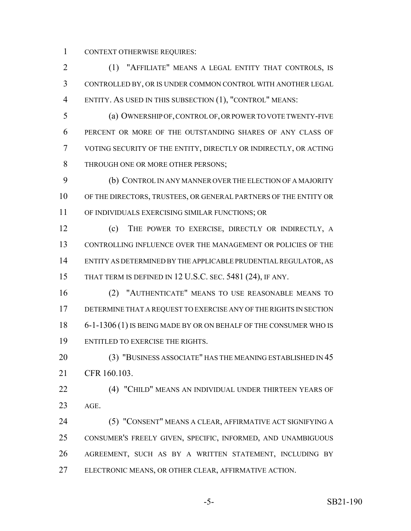CONTEXT OTHERWISE REQUIRES:

 (1) "AFFILIATE" MEANS A LEGAL ENTITY THAT CONTROLS, IS CONTROLLED BY, OR IS UNDER COMMON CONTROL WITH ANOTHER LEGAL ENTITY. AS USED IN THIS SUBSECTION (1), "CONTROL" MEANS:

 (a) OWNERSHIP OF, CONTROL OF, OR POWER TO VOTE TWENTY-FIVE PERCENT OR MORE OF THE OUTSTANDING SHARES OF ANY CLASS OF VOTING SECURITY OF THE ENTITY, DIRECTLY OR INDIRECTLY, OR ACTING 8 THROUGH ONE OR MORE OTHER PERSONS;

 (b) CONTROL IN ANY MANNER OVER THE ELECTION OF A MAJORITY OF THE DIRECTORS, TRUSTEES, OR GENERAL PARTNERS OF THE ENTITY OR OF INDIVIDUALS EXERCISING SIMILAR FUNCTIONS; OR

 (c) THE POWER TO EXERCISE, DIRECTLY OR INDIRECTLY, A CONTROLLING INFLUENCE OVER THE MANAGEMENT OR POLICIES OF THE ENTITY AS DETERMINED BY THE APPLICABLE PRUDENTIAL REGULATOR, AS 15 THAT TERM IS DEFINED IN 12 U.S.C. SEC. 5481 (24), IF ANY.

 (2) "AUTHENTICATE" MEANS TO USE REASONABLE MEANS TO DETERMINE THAT A REQUEST TO EXERCISE ANY OF THE RIGHTS IN SECTION 18 6-1-1306 (1) IS BEING MADE BY OR ON BEHALF OF THE CONSUMER WHO IS ENTITLED TO EXERCISE THE RIGHTS.

20 (3) "BUSINESS ASSOCIATE" HAS THE MEANING ESTABLISHED IN 45 CFR 160.103.

 (4) "CHILD" MEANS AN INDIVIDUAL UNDER THIRTEEN YEARS OF AGE.

 (5) "CONSENT" MEANS A CLEAR, AFFIRMATIVE ACT SIGNIFYING A CONSUMER'S FREELY GIVEN, SPECIFIC, INFORMED, AND UNAMBIGUOUS AGREEMENT, SUCH AS BY A WRITTEN STATEMENT, INCLUDING BY ELECTRONIC MEANS, OR OTHER CLEAR, AFFIRMATIVE ACTION.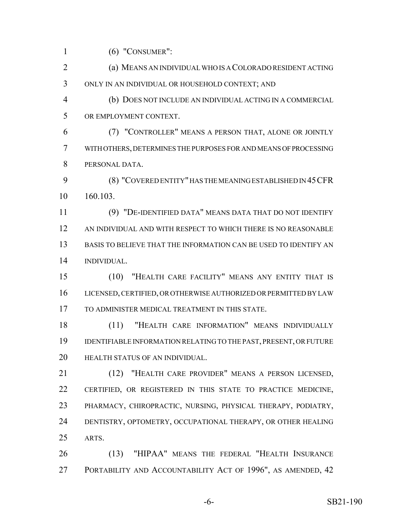(6) "CONSUMER":

 (a) MEANS AN INDIVIDUAL WHO IS A COLORADO RESIDENT ACTING ONLY IN AN INDIVIDUAL OR HOUSEHOLD CONTEXT; AND

 (b) DOES NOT INCLUDE AN INDIVIDUAL ACTING IN A COMMERCIAL OR EMPLOYMENT CONTEXT.

 (7) "CONTROLLER" MEANS A PERSON THAT, ALONE OR JOINTLY WITH OTHERS, DETERMINES THE PURPOSES FOR AND MEANS OF PROCESSING PERSONAL DATA.

 (8) "COVERED ENTITY" HAS THE MEANING ESTABLISHED IN 45CFR 160.103.

 (9) "DE-IDENTIFIED DATA" MEANS DATA THAT DO NOT IDENTIFY AN INDIVIDUAL AND WITH RESPECT TO WHICH THERE IS NO REASONABLE BASIS TO BELIEVE THAT THE INFORMATION CAN BE USED TO IDENTIFY AN INDIVIDUAL.

 (10) "HEALTH CARE FACILITY" MEANS ANY ENTITY THAT IS LICENSED, CERTIFIED, OR OTHERWISE AUTHORIZED OR PERMITTED BY LAW TO ADMINISTER MEDICAL TREATMENT IN THIS STATE.

 (11) "HEALTH CARE INFORMATION" MEANS INDIVIDUALLY IDENTIFIABLE INFORMATION RELATING TO THE PAST, PRESENT, OR FUTURE HEALTH STATUS OF AN INDIVIDUAL.

 (12) "HEALTH CARE PROVIDER" MEANS A PERSON LICENSED, CERTIFIED, OR REGISTERED IN THIS STATE TO PRACTICE MEDICINE, PHARMACY, CHIROPRACTIC, NURSING, PHYSICAL THERAPY, PODIATRY, DENTISTRY, OPTOMETRY, OCCUPATIONAL THERAPY, OR OTHER HEALING ARTS.

 (13) "HIPAA" MEANS THE FEDERAL "HEALTH INSURANCE 27 PORTABILITY AND ACCOUNTABILITY ACT OF 1996", AS AMENDED, 42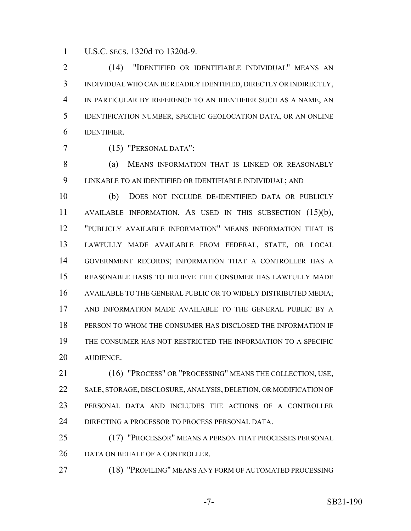U.S.C. SECS. 1320d TO 1320d-9.

 (14) "IDENTIFIED OR IDENTIFIABLE INDIVIDUAL" MEANS AN INDIVIDUAL WHO CAN BE READILY IDENTIFIED, DIRECTLY OR INDIRECTLY, IN PARTICULAR BY REFERENCE TO AN IDENTIFIER SUCH AS A NAME, AN IDENTIFICATION NUMBER, SPECIFIC GEOLOCATION DATA, OR AN ONLINE IDENTIFIER.

(15) "PERSONAL DATA":

8 (a) MEANS INFORMATION THAT IS LINKED OR REASONABLY LINKABLE TO AN IDENTIFIED OR IDENTIFIABLE INDIVIDUAL; AND

 (b) DOES NOT INCLUDE DE-IDENTIFIED DATA OR PUBLICLY AVAILABLE INFORMATION. AS USED IN THIS SUBSECTION (15)(b), "PUBLICLY AVAILABLE INFORMATION" MEANS INFORMATION THAT IS LAWFULLY MADE AVAILABLE FROM FEDERAL, STATE, OR LOCAL GOVERNMENT RECORDS; INFORMATION THAT A CONTROLLER HAS A REASONABLE BASIS TO BELIEVE THE CONSUMER HAS LAWFULLY MADE AVAILABLE TO THE GENERAL PUBLIC OR TO WIDELY DISTRIBUTED MEDIA; AND INFORMATION MADE AVAILABLE TO THE GENERAL PUBLIC BY A PERSON TO WHOM THE CONSUMER HAS DISCLOSED THE INFORMATION IF THE CONSUMER HAS NOT RESTRICTED THE INFORMATION TO A SPECIFIC AUDIENCE.

 (16) "PROCESS" OR "PROCESSING" MEANS THE COLLECTION, USE, SALE, STORAGE, DISCLOSURE, ANALYSIS, DELETION, OR MODIFICATION OF PERSONAL DATA AND INCLUDES THE ACTIONS OF A CONTROLLER DIRECTING A PROCESSOR TO PROCESS PERSONAL DATA.

 (17) "PROCESSOR" MEANS A PERSON THAT PROCESSES PERSONAL 26 DATA ON BEHALF OF A CONTROLLER.

(18) "PROFILING" MEANS ANY FORM OF AUTOMATED PROCESSING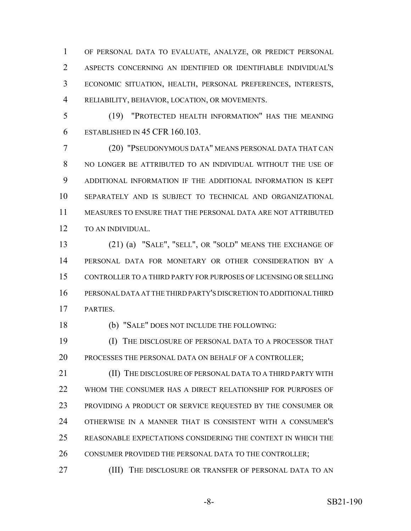OF PERSONAL DATA TO EVALUATE, ANALYZE, OR PREDICT PERSONAL ASPECTS CONCERNING AN IDENTIFIED OR IDENTIFIABLE INDIVIDUAL'S ECONOMIC SITUATION, HEALTH, PERSONAL PREFERENCES, INTERESTS, RELIABILITY, BEHAVIOR, LOCATION, OR MOVEMENTS.

 (19) "PROTECTED HEALTH INFORMATION" HAS THE MEANING ESTABLISHED IN 45 CFR 160.103.

 (20) "PSEUDONYMOUS DATA" MEANS PERSONAL DATA THAT CAN NO LONGER BE ATTRIBUTED TO AN INDIVIDUAL WITHOUT THE USE OF ADDITIONAL INFORMATION IF THE ADDITIONAL INFORMATION IS KEPT SEPARATELY AND IS SUBJECT TO TECHNICAL AND ORGANIZATIONAL MEASURES TO ENSURE THAT THE PERSONAL DATA ARE NOT ATTRIBUTED TO AN INDIVIDUAL.

 (21) (a) "SALE", "SELL", OR "SOLD" MEANS THE EXCHANGE OF PERSONAL DATA FOR MONETARY OR OTHER CONSIDERATION BY A CONTROLLER TO A THIRD PARTY FOR PURPOSES OF LICENSING OR SELLING PERSONAL DATA AT THE THIRD PARTY'S DISCRETION TO ADDITIONAL THIRD PARTIES.

(b) "SALE" DOES NOT INCLUDE THE FOLLOWING:

 (I) THE DISCLOSURE OF PERSONAL DATA TO A PROCESSOR THAT 20 PROCESSES THE PERSONAL DATA ON BEHALF OF A CONTROLLER;

**(II)** THE DISCLOSURE OF PERSONAL DATA TO A THIRD PARTY WITH WHOM THE CONSUMER HAS A DIRECT RELATIONSHIP FOR PURPOSES OF 23 PROVIDING A PRODUCT OR SERVICE REQUESTED BY THE CONSUMER OR OTHERWISE IN A MANNER THAT IS CONSISTENT WITH A CONSUMER'S REASONABLE EXPECTATIONS CONSIDERING THE CONTEXT IN WHICH THE 26 CONSUMER PROVIDED THE PERSONAL DATA TO THE CONTROLLER;

**(III)** THE DISCLOSURE OR TRANSFER OF PERSONAL DATA TO AN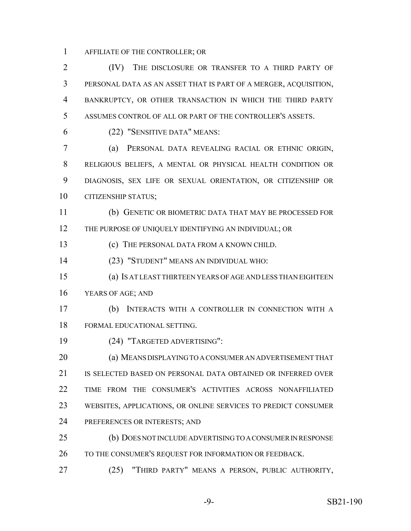AFFILIATE OF THE CONTROLLER; OR

 (IV) THE DISCLOSURE OR TRANSFER TO A THIRD PARTY OF PERSONAL DATA AS AN ASSET THAT IS PART OF A MERGER, ACQUISITION, BANKRUPTCY, OR OTHER TRANSACTION IN WHICH THE THIRD PARTY ASSUMES CONTROL OF ALL OR PART OF THE CONTROLLER'S ASSETS.

(22) "SENSITIVE DATA" MEANS:

 (a) PERSONAL DATA REVEALING RACIAL OR ETHNIC ORIGIN, RELIGIOUS BELIEFS, A MENTAL OR PHYSICAL HEALTH CONDITION OR DIAGNOSIS, SEX LIFE OR SEXUAL ORIENTATION, OR CITIZENSHIP OR CITIZENSHIP STATUS;

 (b) GENETIC OR BIOMETRIC DATA THAT MAY BE PROCESSED FOR 12 THE PURPOSE OF UNIQUELY IDENTIFYING AN INDIVIDUAL; OR

(c) THE PERSONAL DATA FROM A KNOWN CHILD.

(23) "STUDENT" MEANS AN INDIVIDUAL WHO:

 (a) IS AT LEAST THIRTEEN YEARS OF AGE AND LESS THAN EIGHTEEN YEARS OF AGE; AND

 (b) INTERACTS WITH A CONTROLLER IN CONNECTION WITH A FORMAL EDUCATIONAL SETTING.

(24) "TARGETED ADVERTISING":

 (a) MEANS DISPLAYING TO A CONSUMER AN ADVERTISEMENT THAT 21 IS SELECTED BASED ON PERSONAL DATA OBTAINED OR INFERRED OVER TIME FROM THE CONSUMER'S ACTIVITIES ACROSS NONAFFILIATED WEBSITES, APPLICATIONS, OR ONLINE SERVICES TO PREDICT CONSUMER PREFERENCES OR INTERESTS; AND

 (b) DOES NOT INCLUDE ADVERTISING TO A CONSUMER IN RESPONSE 26 TO THE CONSUMER'S REQUEST FOR INFORMATION OR FEEDBACK.

(25) "THIRD PARTY" MEANS A PERSON, PUBLIC AUTHORITY,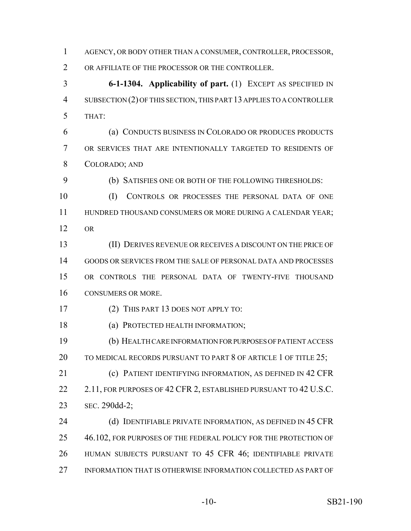AGENCY, OR BODY OTHER THAN A CONSUMER, CONTROLLER, PROCESSOR,

OR AFFILIATE OF THE PROCESSOR OR THE CONTROLLER.

 **6-1-1304. Applicability of part.** (1) EXCEPT AS SPECIFIED IN SUBSECTION (2) OF THIS SECTION, THIS PART 13 APPLIES TO A CONTROLLER THAT:

 (a) CONDUCTS BUSINESS IN COLORADO OR PRODUCES PRODUCTS OR SERVICES THAT ARE INTENTIONALLY TARGETED TO RESIDENTS OF COLORADO; AND

(b) SATISFIES ONE OR BOTH OF THE FOLLOWING THRESHOLDS:

 (I) CONTROLS OR PROCESSES THE PERSONAL DATA OF ONE 11 HUNDRED THOUSAND CONSUMERS OR MORE DURING A CALENDAR YEAR; OR

 (II) DERIVES REVENUE OR RECEIVES A DISCOUNT ON THE PRICE OF GOODS OR SERVICES FROM THE SALE OF PERSONAL DATA AND PROCESSES OR CONTROLS THE PERSONAL DATA OF TWENTY-FIVE THOUSAND CONSUMERS OR MORE.

(2) THIS PART 13 DOES NOT APPLY TO:

18 (a) PROTECTED HEALTH INFORMATION;

 (b) HEALTH CARE INFORMATION FOR PURPOSES OF PATIENT ACCESS 20 TO MEDICAL RECORDS PURSUANT TO PART 8 OF ARTICLE 1 OF TITLE 25;

 (c) PATIENT IDENTIFYING INFORMATION, AS DEFINED IN 42 CFR 22 2.11, FOR PURPOSES OF 42 CFR 2, ESTABLISHED PURSUANT TO 42 U.S.C. SEC. 290dd-2;

24 (d) IDENTIFIABLE PRIVATE INFORMATION, AS DEFINED IN 45 CFR 25 46.102, FOR PURPOSES OF THE FEDERAL POLICY FOR THE PROTECTION OF HUMAN SUBJECTS PURSUANT TO 45 CFR 46; IDENTIFIABLE PRIVATE INFORMATION THAT IS OTHERWISE INFORMATION COLLECTED AS PART OF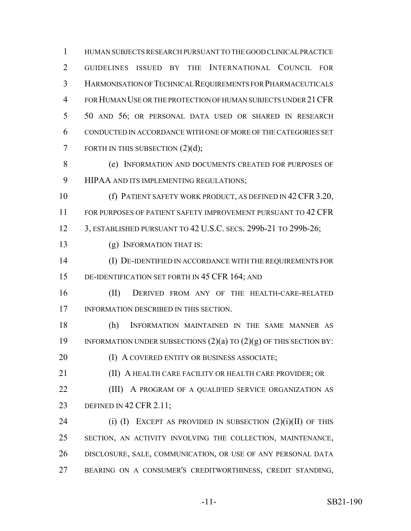HUMAN SUBJECTS RESEARCH PURSUANT TO THE GOOD CLINICAL PRACTICE GUIDELINES ISSUED BY THE INTERNATIONAL COUNCIL FOR HARMONISATION OF TECHNICAL REQUIREMENTS FOR PHARMACEUTICALS FOR HUMAN USE OR THE PROTECTION OF HUMAN SUBJECTS UNDER 21CFR 50 AND 56; OR PERSONAL DATA USED OR SHARED IN RESEARCH CONDUCTED IN ACCORDANCE WITH ONE OF MORE OF THE CATEGORIES SET 7 FORTH IN THIS SUBSECTION  $(2)(d)$ ;

 (e) INFORMATION AND DOCUMENTS CREATED FOR PURPOSES OF HIPAA AND ITS IMPLEMENTING REGULATIONS;

10 (f) PATIENT SAFETY WORK PRODUCT, AS DEFINED IN 42 CFR 3.20, FOR PURPOSES OF PATIENT SAFETY IMPROVEMENT PURSUANT TO 42 CFR 3, ESTABLISHED PURSUANT TO 42 U.S.C. SECS. 299b-21 TO 299b-26;

(g) INFORMATION THAT IS:

 (I) DE-IDENTIFIED IN ACCORDANCE WITH THE REQUIREMENTS FOR DE-IDENTIFICATION SET FORTH IN 45 CFR 164; AND

 (II) DERIVED FROM ANY OF THE HEALTH-CARE-RELATED INFORMATION DESCRIBED IN THIS SECTION.

 (h) INFORMATION MAINTAINED IN THE SAME MANNER AS 19 INFORMATION UNDER SUBSECTIONS  $(2)(a)$  to  $(2)(g)$  of this section by:

**(I) A COVERED ENTITY OR BUSINESS ASSOCIATE;** 

**(II) A HEALTH CARE FACILITY OR HEALTH CARE PROVIDER; OR** 

**(III)** A PROGRAM OF A QUALIFIED SERVICE ORGANIZATION AS DEFINED IN 42 CFR 2.11;

24 (i) (I) EXCEPT AS PROVIDED IN SUBSECTION  $(2)(i)(II)$  OF THIS SECTION, AN ACTIVITY INVOLVING THE COLLECTION, MAINTENANCE, DISCLOSURE, SALE, COMMUNICATION, OR USE OF ANY PERSONAL DATA BEARING ON A CONSUMER'S CREDITWORTHINESS, CREDIT STANDING,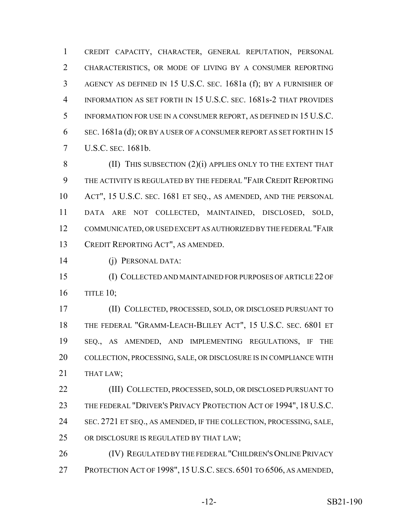CREDIT CAPACITY, CHARACTER, GENERAL REPUTATION, PERSONAL CHARACTERISTICS, OR MODE OF LIVING BY A CONSUMER REPORTING AGENCY AS DEFINED IN 15 U.S.C. SEC. 1681a (f); BY A FURNISHER OF INFORMATION AS SET FORTH IN 15 U.S.C. SEC. 1681s-2 THAT PROVIDES INFORMATION FOR USE IN A CONSUMER REPORT, AS DEFINED IN 15 U.S.C. SEC. 1681a (d); OR BY A USER OF A CONSUMER REPORT AS SET FORTH IN 15 U.S.C. SEC. 1681b.

8 (II) THIS SUBSECTION (2)(i) APPLIES ONLY TO THE EXTENT THAT THE ACTIVITY IS REGULATED BY THE FEDERAL "FAIR CREDIT REPORTING ACT", 15 U.S.C. SEC. 1681 ET SEQ., AS AMENDED, AND THE PERSONAL DATA ARE NOT COLLECTED, MAINTAINED, DISCLOSED, SOLD, COMMUNICATED, OR USED EXCEPT AS AUTHORIZED BY THE FEDERAL "FAIR CREDIT REPORTING ACT", AS AMENDED.

(j) PERSONAL DATA:

 (I) COLLECTED AND MAINTAINED FOR PURPOSES OF ARTICLE 22 OF TITLE 10;

 (II) COLLECTED, PROCESSED, SOLD, OR DISCLOSED PURSUANT TO THE FEDERAL "GRAMM-LEACH-BLILEY ACT", 15 U.S.C. SEC. 6801 ET SEQ., AS AMENDED, AND IMPLEMENTING REGULATIONS, IF THE COLLECTION, PROCESSING, SALE, OR DISCLOSURE IS IN COMPLIANCE WITH 21 THAT LAW;

 (III) COLLECTED, PROCESSED, SOLD, OR DISCLOSED PURSUANT TO THE FEDERAL "DRIVER'S PRIVACY PROTECTION ACT OF 1994", 18 U.S.C. SEC. 2721 ET SEQ., AS AMENDED, IF THE COLLECTION, PROCESSING, SALE, OR DISCLOSURE IS REGULATED BY THAT LAW;

 (IV) REGULATED BY THE FEDERAL "CHILDREN'S ONLINE PRIVACY PROTECTION ACT OF 1998", 15 U.S.C. SECS. 6501 TO 6506, AS AMENDED,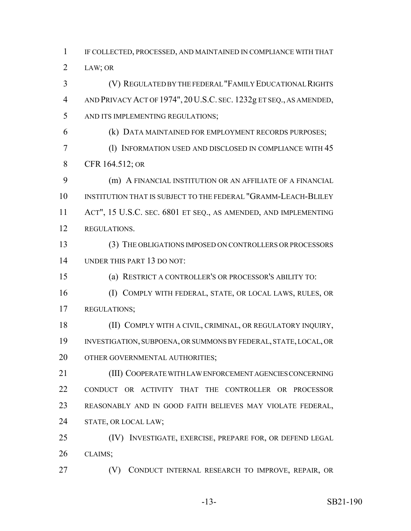IF COLLECTED, PROCESSED, AND MAINTAINED IN COMPLIANCE WITH THAT LAW; OR

 (V) REGULATED BY THE FEDERAL "FAMILY EDUCATIONAL RIGHTS AND PRIVACY ACT OF 1974", 20U.S.C. SEC. 1232g ET SEQ., AS AMENDED, AND ITS IMPLEMENTING REGULATIONS;

(k) DATA MAINTAINED FOR EMPLOYMENT RECORDS PURPOSES;

 (l) INFORMATION USED AND DISCLOSED IN COMPLIANCE WITH 45 CFR 164.512; OR

 (m) A FINANCIAL INSTITUTION OR AN AFFILIATE OF A FINANCIAL 10 INSTITUTION THAT IS SUBJECT TO THE FEDERAL "GRAMM-LEACH-BLILEY ACT", 15 U.S.C. SEC. 6801 ET SEQ., AS AMENDED, AND IMPLEMENTING REGULATIONS.

 (3) THE OBLIGATIONS IMPOSED ON CONTROLLERS OR PROCESSORS UNDER THIS PART 13 DO NOT:

(a) RESTRICT A CONTROLLER'S OR PROCESSOR'S ABILITY TO:

 (I) COMPLY WITH FEDERAL, STATE, OR LOCAL LAWS, RULES, OR REGULATIONS;

 (II) COMPLY WITH A CIVIL, CRIMINAL, OR REGULATORY INQUIRY, INVESTIGATION, SUBPOENA, OR SUMMONS BY FEDERAL, STATE, LOCAL, OR 20 OTHER GOVERNMENTAL AUTHORITIES;

 (III) COOPERATE WITH LAW ENFORCEMENT AGENCIES CONCERNING CONDUCT OR ACTIVITY THAT THE CONTROLLER OR PROCESSOR REASONABLY AND IN GOOD FAITH BELIEVES MAY VIOLATE FEDERAL, STATE, OR LOCAL LAW;

 (IV) INVESTIGATE, EXERCISE, PREPARE FOR, OR DEFEND LEGAL CLAIMS;

27 (V) CONDUCT INTERNAL RESEARCH TO IMPROVE, REPAIR, OR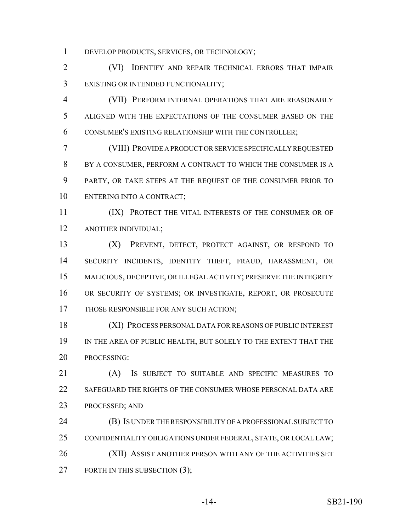DEVELOP PRODUCTS, SERVICES, OR TECHNOLOGY;

 (VI) IDENTIFY AND REPAIR TECHNICAL ERRORS THAT IMPAIR EXISTING OR INTENDED FUNCTIONALITY;

 (VII) PERFORM INTERNAL OPERATIONS THAT ARE REASONABLY ALIGNED WITH THE EXPECTATIONS OF THE CONSUMER BASED ON THE CONSUMER'S EXISTING RELATIONSHIP WITH THE CONTROLLER;

 (VIII) PROVIDE A PRODUCT OR SERVICE SPECIFICALLY REQUESTED BY A CONSUMER, PERFORM A CONTRACT TO WHICH THE CONSUMER IS A PARTY, OR TAKE STEPS AT THE REQUEST OF THE CONSUMER PRIOR TO ENTERING INTO A CONTRACT;

11 (IX) PROTECT THE VITAL INTERESTS OF THE CONSUMER OR OF ANOTHER INDIVIDUAL;

 (X) PREVENT, DETECT, PROTECT AGAINST, OR RESPOND TO SECURITY INCIDENTS, IDENTITY THEFT, FRAUD, HARASSMENT, OR MALICIOUS, DECEPTIVE, OR ILLEGAL ACTIVITY; PRESERVE THE INTEGRITY OR SECURITY OF SYSTEMS; OR INVESTIGATE, REPORT, OR PROSECUTE THOSE RESPONSIBLE FOR ANY SUCH ACTION;

 (XI) PROCESS PERSONAL DATA FOR REASONS OF PUBLIC INTEREST IN THE AREA OF PUBLIC HEALTH, BUT SOLELY TO THE EXTENT THAT THE PROCESSING:

 (A) IS SUBJECT TO SUITABLE AND SPECIFIC MEASURES TO SAFEGUARD THE RIGHTS OF THE CONSUMER WHOSE PERSONAL DATA ARE PROCESSED; AND

 (B) IS UNDER THE RESPONSIBILITY OF A PROFESSIONAL SUBJECT TO CONFIDENTIALITY OBLIGATIONS UNDER FEDERAL, STATE, OR LOCAL LAW; (XII) ASSIST ANOTHER PERSON WITH ANY OF THE ACTIVITIES SET 27 FORTH IN THIS SUBSECTION (3);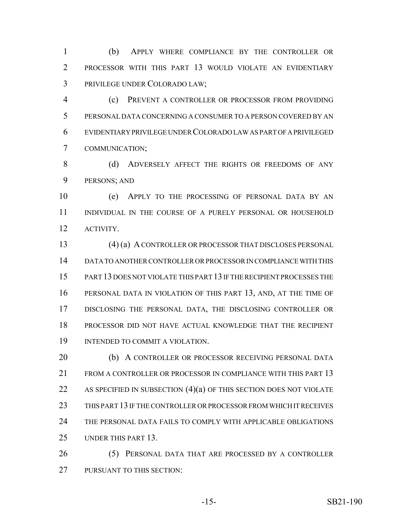(b) APPLY WHERE COMPLIANCE BY THE CONTROLLER OR PROCESSOR WITH THIS PART 13 WOULD VIOLATE AN EVIDENTIARY PRIVILEGE UNDER COLORADO LAW;

 (c) PREVENT A CONTROLLER OR PROCESSOR FROM PROVIDING PERSONAL DATA CONCERNING A CONSUMER TO A PERSON COVERED BY AN EVIDENTIARY PRIVILEGE UNDER COLORADO LAW AS PART OF A PRIVILEGED COMMUNICATION;

8 (d) ADVERSELY AFFECT THE RIGHTS OR FREEDOMS OF ANY PERSONS; AND

 (e) APPLY TO THE PROCESSING OF PERSONAL DATA BY AN INDIVIDUAL IN THE COURSE OF A PURELY PERSONAL OR HOUSEHOLD ACTIVITY.

 (4) (a) A CONTROLLER OR PROCESSOR THAT DISCLOSES PERSONAL DATA TO ANOTHER CONTROLLER OR PROCESSOR IN COMPLIANCE WITH THIS PART 13 DOES NOT VIOLATE THIS PART 13 IF THE RECIPIENT PROCESSES THE PERSONAL DATA IN VIOLATION OF THIS PART 13, AND, AT THE TIME OF DISCLOSING THE PERSONAL DATA, THE DISCLOSING CONTROLLER OR PROCESSOR DID NOT HAVE ACTUAL KNOWLEDGE THAT THE RECIPIENT INTENDED TO COMMIT A VIOLATION.

 (b) A CONTROLLER OR PROCESSOR RECEIVING PERSONAL DATA FROM A CONTROLLER OR PROCESSOR IN COMPLIANCE WITH THIS PART 13 22 AS SPECIFIED IN SUBSECTION  $(4)(a)$  of this section does not violate THIS PART 13 IF THE CONTROLLER OR PROCESSOR FROM WHICH IT RECEIVES THE PERSONAL DATA FAILS TO COMPLY WITH APPLICABLE OBLIGATIONS UNDER THIS PART 13.

 (5) PERSONAL DATA THAT ARE PROCESSED BY A CONTROLLER PURSUANT TO THIS SECTION: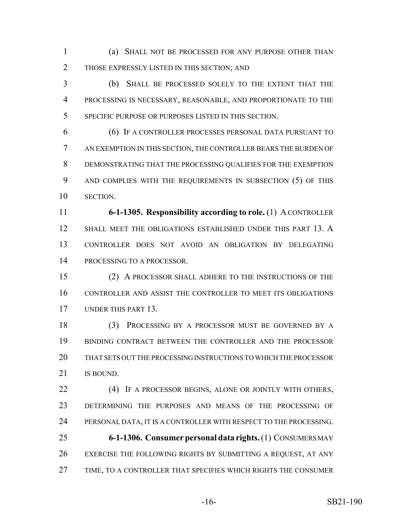(a) SHALL NOT BE PROCESSED FOR ANY PURPOSE OTHER THAN THOSE EXPRESSLY LISTED IN THIS SECTION; AND

 (b) SHALL BE PROCESSED SOLELY TO THE EXTENT THAT THE PROCESSING IS NECESSARY, REASONABLE, AND PROPORTIONATE TO THE SPECIFIC PURPOSE OR PURPOSES LISTED IN THIS SECTION.

 (6) IF A CONTROLLER PROCESSES PERSONAL DATA PURSUANT TO AN EXEMPTION IN THIS SECTION, THE CONTROLLER BEARS THE BURDEN OF DEMONSTRATING THAT THE PROCESSING QUALIFIES FOR THE EXEMPTION AND COMPLIES WITH THE REQUIREMENTS IN SUBSECTION (5) OF THIS SECTION.

 **6-1-1305. Responsibility according to role.** (1) A CONTROLLER SHALL MEET THE OBLIGATIONS ESTABLISHED UNDER THIS PART 13. A CONTROLLER DOES NOT AVOID AN OBLIGATION BY DELEGATING PROCESSING TO A PROCESSOR.

 (2) A PROCESSOR SHALL ADHERE TO THE INSTRUCTIONS OF THE CONTROLLER AND ASSIST THE CONTROLLER TO MEET ITS OBLIGATIONS UNDER THIS PART 13.

 (3) PROCESSING BY A PROCESSOR MUST BE GOVERNED BY A BINDING CONTRACT BETWEEN THE CONTROLLER AND THE PROCESSOR THAT SETS OUT THE PROCESSING INSTRUCTIONS TO WHICH THE PROCESSOR 21 IS BOUND.

 (4) IF A PROCESSOR BEGINS, ALONE OR JOINTLY WITH OTHERS, DETERMINING THE PURPOSES AND MEANS OF THE PROCESSING OF PERSONAL DATA, IT IS A CONTROLLER WITH RESPECT TO THE PROCESSING. **6-1-1306. Consumer personal data rights.** (1) CONSUMERS MAY EXERCISE THE FOLLOWING RIGHTS BY SUBMITTING A REQUEST, AT ANY

TIME, TO A CONTROLLER THAT SPECIFIES WHICH RIGHTS THE CONSUMER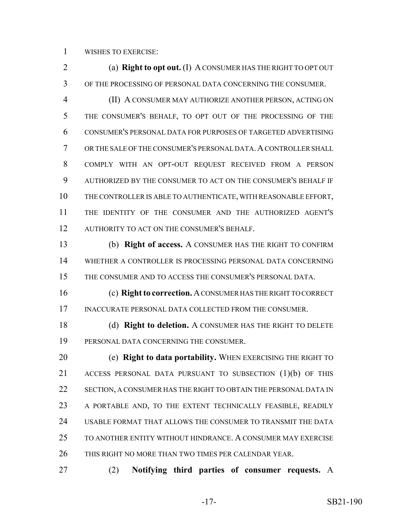WISHES TO EXERCISE:

 (a) **Right to opt out.** (I) A CONSUMER HAS THE RIGHT TO OPT OUT OF THE PROCESSING OF PERSONAL DATA CONCERNING THE CONSUMER.

 (II) A CONSUMER MAY AUTHORIZE ANOTHER PERSON, ACTING ON THE CONSUMER'S BEHALF, TO OPT OUT OF THE PROCESSING OF THE CONSUMER'S PERSONAL DATA FOR PURPOSES OF TARGETED ADVERTISING 7 OR THE SALE OF THE CONSUMER'S PERSONAL DATA. A CONTROLLER SHALL COMPLY WITH AN OPT-OUT REQUEST RECEIVED FROM A PERSON AUTHORIZED BY THE CONSUMER TO ACT ON THE CONSUMER'S BEHALF IF THE CONTROLLER IS ABLE TO AUTHENTICATE, WITH REASONABLE EFFORT, THE IDENTITY OF THE CONSUMER AND THE AUTHORIZED AGENT'S 12 AUTHORITY TO ACT ON THE CONSUMER'S BEHALF.

 (b) **Right of access.** A CONSUMER HAS THE RIGHT TO CONFIRM WHETHER A CONTROLLER IS PROCESSING PERSONAL DATA CONCERNING THE CONSUMER AND TO ACCESS THE CONSUMER'S PERSONAL DATA.

 (c) **Right to correction.** A CONSUMER HAS THE RIGHT TO CORRECT 17 INACCURATE PERSONAL DATA COLLECTED FROM THE CONSUMER.

 (d) **Right to deletion.** A CONSUMER HAS THE RIGHT TO DELETE PERSONAL DATA CONCERNING THE CONSUMER.

 (e) **Right to data portability.** WHEN EXERCISING THE RIGHT TO 21 ACCESS PERSONAL DATA PURSUANT TO SUBSECTION (1)(b) OF THIS 22 SECTION, A CONSUMER HAS THE RIGHT TO OBTAIN THE PERSONAL DATA IN 23 A PORTABLE AND, TO THE EXTENT TECHNICALLY FEASIBLE, READILY USABLE FORMAT THAT ALLOWS THE CONSUMER TO TRANSMIT THE DATA TO ANOTHER ENTITY WITHOUT HINDRANCE. A CONSUMER MAY EXERCISE THIS RIGHT NO MORE THAN TWO TIMES PER CALENDAR YEAR.

(2) **Notifying third parties of consumer requests.** A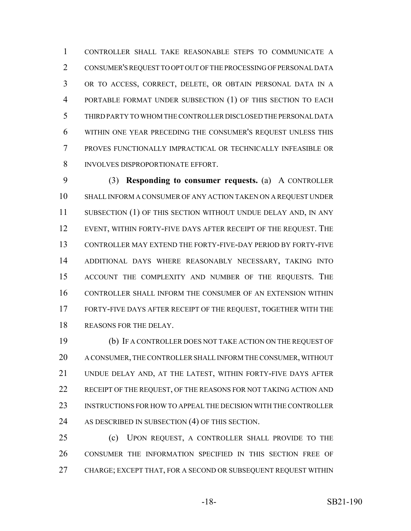CONTROLLER SHALL TAKE REASONABLE STEPS TO COMMUNICATE A CONSUMER'S REQUEST TO OPT OUT OF THE PROCESSING OF PERSONAL DATA OR TO ACCESS, CORRECT, DELETE, OR OBTAIN PERSONAL DATA IN A PORTABLE FORMAT UNDER SUBSECTION (1) OF THIS SECTION TO EACH THIRD PARTY TO WHOM THE CONTROLLER DISCLOSED THE PERSONAL DATA WITHIN ONE YEAR PRECEDING THE CONSUMER'S REQUEST UNLESS THIS PROVES FUNCTIONALLY IMPRACTICAL OR TECHNICALLY INFEASIBLE OR INVOLVES DISPROPORTIONATE EFFORT.

 (3) **Responding to consumer requests.** (a) A CONTROLLER SHALL INFORM A CONSUMER OF ANY ACTION TAKEN ON A REQUEST UNDER 11 SUBSECTION (1) OF THIS SECTION WITHOUT UNDUE DELAY AND, IN ANY EVENT, WITHIN FORTY-FIVE DAYS AFTER RECEIPT OF THE REQUEST. THE CONTROLLER MAY EXTEND THE FORTY-FIVE-DAY PERIOD BY FORTY-FIVE ADDITIONAL DAYS WHERE REASONABLY NECESSARY, TAKING INTO ACCOUNT THE COMPLEXITY AND NUMBER OF THE REQUESTS. THE CONTROLLER SHALL INFORM THE CONSUMER OF AN EXTENSION WITHIN FORTY-FIVE DAYS AFTER RECEIPT OF THE REQUEST, TOGETHER WITH THE REASONS FOR THE DELAY.

 (b) IF A CONTROLLER DOES NOT TAKE ACTION ON THE REQUEST OF A CONSUMER, THE CONTROLLER SHALL INFORM THE CONSUMER, WITHOUT UNDUE DELAY AND, AT THE LATEST, WITHIN FORTY-FIVE DAYS AFTER 22 RECEIPT OF THE REQUEST, OF THE REASONS FOR NOT TAKING ACTION AND INSTRUCTIONS FOR HOW TO APPEAL THE DECISION WITH THE CONTROLLER 24 AS DESCRIBED IN SUBSECTION (4) OF THIS SECTION.

 (c) UPON REQUEST, A CONTROLLER SHALL PROVIDE TO THE CONSUMER THE INFORMATION SPECIFIED IN THIS SECTION FREE OF CHARGE; EXCEPT THAT, FOR A SECOND OR SUBSEQUENT REQUEST WITHIN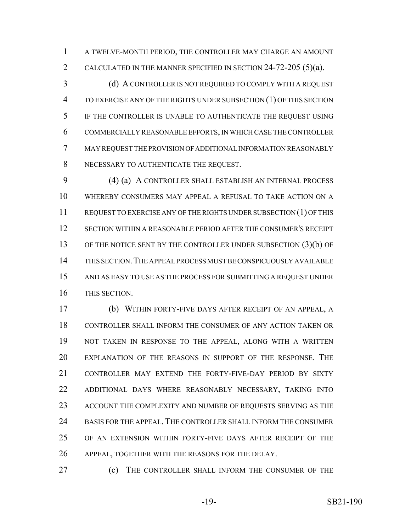A TWELVE-MONTH PERIOD, THE CONTROLLER MAY CHARGE AN AMOUNT CALCULATED IN THE MANNER SPECIFIED IN SECTION 24-72-205 (5)(a).

3 (d) A CONTROLLER IS NOT REQUIRED TO COMPLY WITH A REQUEST TO EXERCISE ANY OF THE RIGHTS UNDER SUBSECTION (1) OF THIS SECTION IF THE CONTROLLER IS UNABLE TO AUTHENTICATE THE REQUEST USING COMMERCIALLY REASONABLE EFFORTS, IN WHICH CASE THE CONTROLLER MAY REQUEST THE PROVISION OF ADDITIONAL INFORMATION REASONABLY NECESSARY TO AUTHENTICATE THE REQUEST.

 (4) (a) A CONTROLLER SHALL ESTABLISH AN INTERNAL PROCESS WHEREBY CONSUMERS MAY APPEAL A REFUSAL TO TAKE ACTION ON A REQUEST TO EXERCISE ANY OF THE RIGHTS UNDER SUBSECTION (1) OF THIS SECTION WITHIN A REASONABLE PERIOD AFTER THE CONSUMER'S RECEIPT OF THE NOTICE SENT BY THE CONTROLLER UNDER SUBSECTION (3)(b) OF THIS SECTION.THE APPEAL PROCESS MUST BE CONSPICUOUSLY AVAILABLE AND AS EASY TO USE AS THE PROCESS FOR SUBMITTING A REQUEST UNDER THIS SECTION.

 (b) WITHIN FORTY-FIVE DAYS AFTER RECEIPT OF AN APPEAL, A CONTROLLER SHALL INFORM THE CONSUMER OF ANY ACTION TAKEN OR NOT TAKEN IN RESPONSE TO THE APPEAL, ALONG WITH A WRITTEN EXPLANATION OF THE REASONS IN SUPPORT OF THE RESPONSE. THE CONTROLLER MAY EXTEND THE FORTY-FIVE-DAY PERIOD BY SIXTY ADDITIONAL DAYS WHERE REASONABLY NECESSARY, TAKING INTO ACCOUNT THE COMPLEXITY AND NUMBER OF REQUESTS SERVING AS THE BASIS FOR THE APPEAL. THE CONTROLLER SHALL INFORM THE CONSUMER OF AN EXTENSION WITHIN FORTY-FIVE DAYS AFTER RECEIPT OF THE APPEAL, TOGETHER WITH THE REASONS FOR THE DELAY.

(c) THE CONTROLLER SHALL INFORM THE CONSUMER OF THE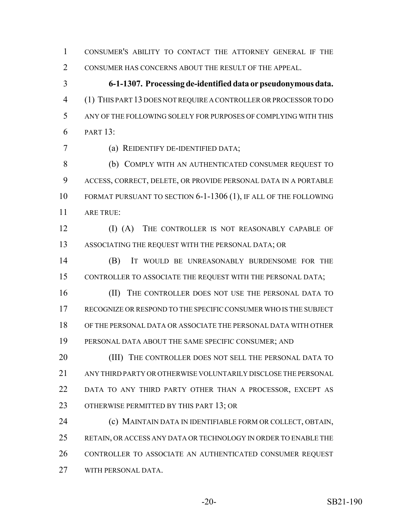CONSUMER'S ABILITY TO CONTACT THE ATTORNEY GENERAL IF THE CONSUMER HAS CONCERNS ABOUT THE RESULT OF THE APPEAL.

 **6-1-1307. Processing de-identified data or pseudonymous data.** (1) THIS PART 13 DOES NOT REQUIRE A CONTROLLER OR PROCESSOR TO DO ANY OF THE FOLLOWING SOLELY FOR PURPOSES OF COMPLYING WITH THIS PART 13:

(a) REIDENTIFY DE-IDENTIFIED DATA;

 (b) COMPLY WITH AN AUTHENTICATED CONSUMER REQUEST TO ACCESS, CORRECT, DELETE, OR PROVIDE PERSONAL DATA IN A PORTABLE FORMAT PURSUANT TO SECTION 6-1-1306 (1), IF ALL OF THE FOLLOWING ARE TRUE:

 (I) (A) THE CONTROLLER IS NOT REASONABLY CAPABLE OF ASSOCIATING THE REQUEST WITH THE PERSONAL DATA; OR

 (B) IT WOULD BE UNREASONABLY BURDENSOME FOR THE CONTROLLER TO ASSOCIATE THE REQUEST WITH THE PERSONAL DATA;

16 (II) THE CONTROLLER DOES NOT USE THE PERSONAL DATA TO RECOGNIZE OR RESPOND TO THE SPECIFIC CONSUMER WHO IS THE SUBJECT OF THE PERSONAL DATA OR ASSOCIATE THE PERSONAL DATA WITH OTHER PERSONAL DATA ABOUT THE SAME SPECIFIC CONSUMER; AND

20 (III) THE CONTROLLER DOES NOT SELL THE PERSONAL DATA TO ANY THIRD PARTY OR OTHERWISE VOLUNTARILY DISCLOSE THE PERSONAL DATA TO ANY THIRD PARTY OTHER THAN A PROCESSOR, EXCEPT AS 23 OTHERWISE PERMITTED BY THIS PART 13; OR

 (c) MAINTAIN DATA IN IDENTIFIABLE FORM OR COLLECT, OBTAIN, RETAIN, OR ACCESS ANY DATA OR TECHNOLOGY IN ORDER TO ENABLE THE CONTROLLER TO ASSOCIATE AN AUTHENTICATED CONSUMER REQUEST WITH PERSONAL DATA.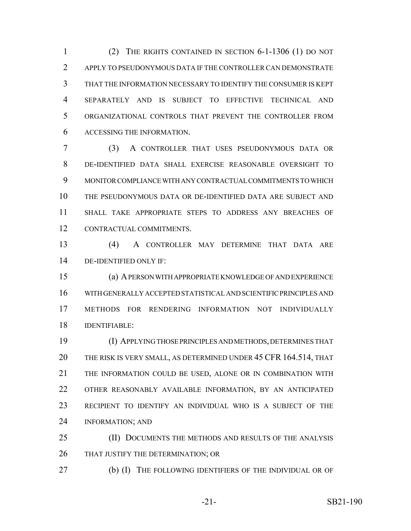(2) THE RIGHTS CONTAINED IN SECTION 6-1-1306 (1) DO NOT APPLY TO PSEUDONYMOUS DATA IF THE CONTROLLER CAN DEMONSTRATE THAT THE INFORMATION NECESSARY TO IDENTIFY THE CONSUMER IS KEPT SEPARATELY AND IS SUBJECT TO EFFECTIVE TECHNICAL AND ORGANIZATIONAL CONTROLS THAT PREVENT THE CONTROLLER FROM ACCESSING THE INFORMATION.

 (3) A CONTROLLER THAT USES PSEUDONYMOUS DATA OR DE-IDENTIFIED DATA SHALL EXERCISE REASONABLE OVERSIGHT TO MONITOR COMPLIANCE WITH ANY CONTRACTUAL COMMITMENTS TO WHICH THE PSEUDONYMOUS DATA OR DE-IDENTIFIED DATA ARE SUBJECT AND SHALL TAKE APPROPRIATE STEPS TO ADDRESS ANY BREACHES OF CONTRACTUAL COMMITMENTS.

 (4) A CONTROLLER MAY DETERMINE THAT DATA ARE DE-IDENTIFIED ONLY IF:

 (a) A PERSON WITH APPROPRIATE KNOWLEDGE OF AND EXPERIENCE WITH GENERALLY ACCEPTED STATISTICAL AND SCIENTIFIC PRINCIPLES AND METHODS FOR RENDERING INFORMATION NOT INDIVIDUALLY IDENTIFIABLE:

 (I) APPLYING THOSE PRINCIPLES AND METHODS, DETERMINES THAT THE RISK IS VERY SMALL, AS DETERMINED UNDER 45 CFR 164.514, THAT THE INFORMATION COULD BE USED, ALONE OR IN COMBINATION WITH OTHER REASONABLY AVAILABLE INFORMATION, BY AN ANTICIPATED RECIPIENT TO IDENTIFY AN INDIVIDUAL WHO IS A SUBJECT OF THE INFORMATION; AND

 (II) DOCUMENTS THE METHODS AND RESULTS OF THE ANALYSIS 26 THAT JUSTIFY THE DETERMINATION; OR

(b) (I) THE FOLLOWING IDENTIFIERS OF THE INDIVIDUAL OR OF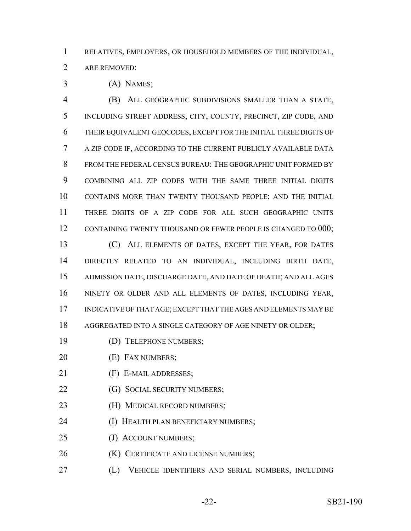RELATIVES, EMPLOYERS, OR HOUSEHOLD MEMBERS OF THE INDIVIDUAL,

ARE REMOVED:

(A) NAMES;

 (B) ALL GEOGRAPHIC SUBDIVISIONS SMALLER THAN A STATE, INCLUDING STREET ADDRESS, CITY, COUNTY, PRECINCT, ZIP CODE, AND THEIR EQUIVALENT GEOCODES, EXCEPT FOR THE INITIAL THREE DIGITS OF A ZIP CODE IF, ACCORDING TO THE CURRENT PUBLICLY AVAILABLE DATA FROM THE FEDERAL CENSUS BUREAU: THE GEOGRAPHIC UNIT FORMED BY COMBINING ALL ZIP CODES WITH THE SAME THREE INITIAL DIGITS CONTAINS MORE THAN TWENTY THOUSAND PEOPLE; AND THE INITIAL THREE DIGITS OF A ZIP CODE FOR ALL SUCH GEOGRAPHIC UNITS 12 CONTAINING TWENTY THOUSAND OR FEWER PEOPLE IS CHANGED TO 000;

 (C) ALL ELEMENTS OF DATES, EXCEPT THE YEAR, FOR DATES DIRECTLY RELATED TO AN INDIVIDUAL, INCLUDING BIRTH DATE, ADMISSION DATE, DISCHARGE DATE, AND DATE OF DEATH; AND ALL AGES NINETY OR OLDER AND ALL ELEMENTS OF DATES, INCLUDING YEAR, INDICATIVE OF THAT AGE; EXCEPT THAT THE AGES AND ELEMENTS MAY BE 18 AGGREGATED INTO A SINGLE CATEGORY OF AGE NINETY OR OLDER;

- (D) TELEPHONE NUMBERS;
- **(E)** FAX NUMBERS;
- (F) E-MAIL ADDRESSES;
- **(G) SOCIAL SECURITY NUMBERS;**
- **(H) MEDICAL RECORD NUMBERS;**
- (I) HEALTH PLAN BENEFICIARY NUMBERS;
- 25 (J) ACCOUNT NUMBERS;
- **(K) CERTIFICATE AND LICENSE NUMBERS;**
- (L) VEHICLE IDENTIFIERS AND SERIAL NUMBERS, INCLUDING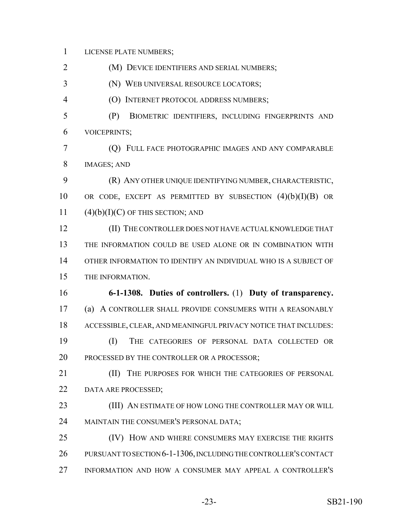LICENSE PLATE NUMBERS;

(M) DEVICE IDENTIFIERS AND SERIAL NUMBERS;

(N) WEB UNIVERSAL RESOURCE LOCATORS;

- (O) INTERNET PROTOCOL ADDRESS NUMBERS;
- (P) BIOMETRIC IDENTIFIERS, INCLUDING FINGERPRINTS AND VOICEPRINTS;
- (Q) FULL FACE PHOTOGRAPHIC IMAGES AND ANY COMPARABLE IMAGES; AND
- (R) ANY OTHER UNIQUE IDENTIFYING NUMBER, CHARACTERISTIC, 10 OR CODE, EXCEPT AS PERMITTED BY SUBSECTION  $(4)(b)(I)(B)$  OR 11  $(4)(b)(I)(C)$  OF THIS SECTION; AND
- (II) THE CONTROLLER DOES NOT HAVE ACTUAL KNOWLEDGE THAT THE INFORMATION COULD BE USED ALONE OR IN COMBINATION WITH OTHER INFORMATION TO IDENTIFY AN INDIVIDUAL WHO IS A SUBJECT OF THE INFORMATION.
- **6-1-1308. Duties of controllers.** (1) **Duty of transparency.** (a) A CONTROLLER SHALL PROVIDE CONSUMERS WITH A REASONABLY ACCESSIBLE, CLEAR, AND MEANINGFUL PRIVACY NOTICE THAT INCLUDES: (I) THE CATEGORIES OF PERSONAL DATA COLLECTED OR
- PROCESSED BY THE CONTROLLER OR A PROCESSOR;
- 21 (II) THE PURPOSES FOR WHICH THE CATEGORIES OF PERSONAL 22 DATA ARE PROCESSED;
- (III) AN ESTIMATE OF HOW LONG THE CONTROLLER MAY OR WILL MAINTAIN THE CONSUMER'S PERSONAL DATA;
- (IV) HOW AND WHERE CONSUMERS MAY EXERCISE THE RIGHTS PURSUANT TO SECTION 6-1-1306, INCLUDING THE CONTROLLER'S CONTACT INFORMATION AND HOW A CONSUMER MAY APPEAL A CONTROLLER'S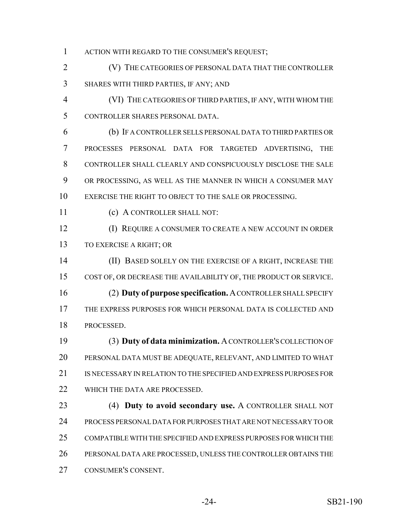- ACTION WITH REGARD TO THE CONSUMER'S REQUEST;
- (V) THE CATEGORIES OF PERSONAL DATA THAT THE CONTROLLER SHARES WITH THIRD PARTIES, IF ANY; AND
- (VI) THE CATEGORIES OF THIRD PARTIES, IF ANY, WITH WHOM THE CONTROLLER SHARES PERSONAL DATA.
- (b) IF A CONTROLLER SELLS PERSONAL DATA TO THIRD PARTIES OR PROCESSES PERSONAL DATA FOR TARGETED ADVERTISING, THE CONTROLLER SHALL CLEARLY AND CONSPICUOUSLY DISCLOSE THE SALE OR PROCESSING, AS WELL AS THE MANNER IN WHICH A CONSUMER MAY EXERCISE THE RIGHT TO OBJECT TO THE SALE OR PROCESSING.
- (c) A CONTROLLER SHALL NOT:
- (I) REQUIRE A CONSUMER TO CREATE A NEW ACCOUNT IN ORDER TO EXERCISE A RIGHT; OR
- (II) BASED SOLELY ON THE EXERCISE OF A RIGHT, INCREASE THE COST OF, OR DECREASE THE AVAILABILITY OF, THE PRODUCT OR SERVICE. (2) **Duty of purpose specification.** A CONTROLLER SHALL SPECIFY
- THE EXPRESS PURPOSES FOR WHICH PERSONAL DATA IS COLLECTED AND PROCESSED.
- (3) **Duty of data minimization.** A CONTROLLER'S COLLECTION OF PERSONAL DATA MUST BE ADEQUATE, RELEVANT, AND LIMITED TO WHAT IS NECESSARY IN RELATION TO THE SPECIFIED AND EXPRESS PURPOSES FOR 22 WHICH THE DATA ARE PROCESSED.
- (4) **Duty to avoid secondary use.** A CONTROLLER SHALL NOT PROCESS PERSONAL DATA FOR PURPOSES THAT ARE NOT NECESSARY TO OR COMPATIBLE WITH THE SPECIFIED AND EXPRESS PURPOSES FOR WHICH THE PERSONAL DATA ARE PROCESSED, UNLESS THE CONTROLLER OBTAINS THE CONSUMER'S CONSENT.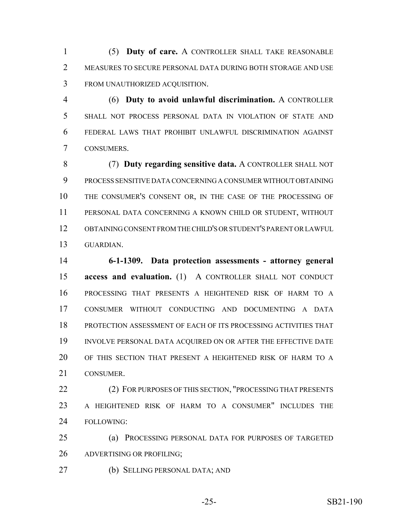(5) **Duty of care.** A CONTROLLER SHALL TAKE REASONABLE 2 MEASURES TO SECURE PERSONAL DATA DURING BOTH STORAGE AND USE FROM UNAUTHORIZED ACQUISITION.

 (6) **Duty to avoid unlawful discrimination.** A CONTROLLER SHALL NOT PROCESS PERSONAL DATA IN VIOLATION OF STATE AND FEDERAL LAWS THAT PROHIBIT UNLAWFUL DISCRIMINATION AGAINST CONSUMERS.

 (7) **Duty regarding sensitive data.** A CONTROLLER SHALL NOT PROCESS SENSITIVE DATA CONCERNING A CONSUMER WITHOUT OBTAINING THE CONSUMER'S CONSENT OR, IN THE CASE OF THE PROCESSING OF PERSONAL DATA CONCERNING A KNOWN CHILD OR STUDENT, WITHOUT OBTAINING CONSENT FROM THE CHILD'S OR STUDENT'S PARENT OR LAWFUL GUARDIAN.

 **6-1-1309. Data protection assessments - attorney general access and evaluation.** (1) A CONTROLLER SHALL NOT CONDUCT PROCESSING THAT PRESENTS A HEIGHTENED RISK OF HARM TO A CONSUMER WITHOUT CONDUCTING AND DOCUMENTING A DATA PROTECTION ASSESSMENT OF EACH OF ITS PROCESSING ACTIVITIES THAT INVOLVE PERSONAL DATA ACQUIRED ON OR AFTER THE EFFECTIVE DATE OF THIS SECTION THAT PRESENT A HEIGHTENED RISK OF HARM TO A CONSUMER.

22 (2) FOR PURPOSES OF THIS SECTION, "PROCESSING THAT PRESENTS A HEIGHTENED RISK OF HARM TO A CONSUMER" INCLUDES THE FOLLOWING:

 (a) PROCESSING PERSONAL DATA FOR PURPOSES OF TARGETED ADVERTISING OR PROFILING;

(b) SELLING PERSONAL DATA; AND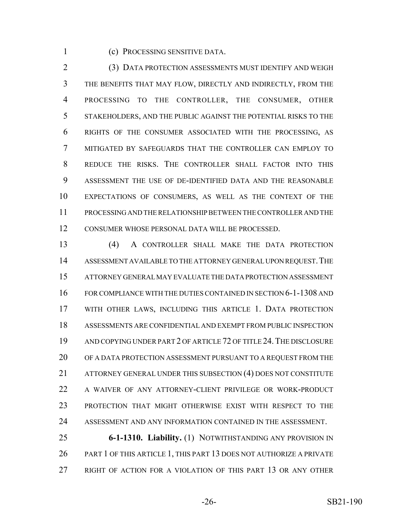(c) PROCESSING SENSITIVE DATA.

 (3) DATA PROTECTION ASSESSMENTS MUST IDENTIFY AND WEIGH THE BENEFITS THAT MAY FLOW, DIRECTLY AND INDIRECTLY, FROM THE PROCESSING TO THE CONTROLLER, THE CONSUMER, OTHER STAKEHOLDERS, AND THE PUBLIC AGAINST THE POTENTIAL RISKS TO THE RIGHTS OF THE CONSUMER ASSOCIATED WITH THE PROCESSING, AS MITIGATED BY SAFEGUARDS THAT THE CONTROLLER CAN EMPLOY TO REDUCE THE RISKS. THE CONTROLLER SHALL FACTOR INTO THIS ASSESSMENT THE USE OF DE-IDENTIFIED DATA AND THE REASONABLE EXPECTATIONS OF CONSUMERS, AS WELL AS THE CONTEXT OF THE PROCESSING AND THE RELATIONSHIP BETWEEN THE CONTROLLER AND THE CONSUMER WHOSE PERSONAL DATA WILL BE PROCESSED.

 (4) A CONTROLLER SHALL MAKE THE DATA PROTECTION ASSESSMENT AVAILABLE TO THE ATTORNEY GENERAL UPON REQUEST.THE ATTORNEY GENERAL MAY EVALUATE THE DATA PROTECTION ASSESSMENT FOR COMPLIANCE WITH THE DUTIES CONTAINED IN SECTION 6-1-1308 AND WITH OTHER LAWS, INCLUDING THIS ARTICLE 1. DATA PROTECTION ASSESSMENTS ARE CONFIDENTIAL AND EXEMPT FROM PUBLIC INSPECTION AND COPYING UNDER PART 2 OF ARTICLE 72 OF TITLE 24.THE DISCLOSURE OF A DATA PROTECTION ASSESSMENT PURSUANT TO A REQUEST FROM THE 21 ATTORNEY GENERAL UNDER THIS SUBSECTION (4) DOES NOT CONSTITUTE A WAIVER OF ANY ATTORNEY-CLIENT PRIVILEGE OR WORK-PRODUCT PROTECTION THAT MIGHT OTHERWISE EXIST WITH RESPECT TO THE ASSESSMENT AND ANY INFORMATION CONTAINED IN THE ASSESSMENT.

 **6-1-1310. Liability.** (1) NOTWITHSTANDING ANY PROVISION IN 26 PART 1 OF THIS ARTICLE 1, THIS PART 13 DOES NOT AUTHORIZE A PRIVATE RIGHT OF ACTION FOR A VIOLATION OF THIS PART 13 OR ANY OTHER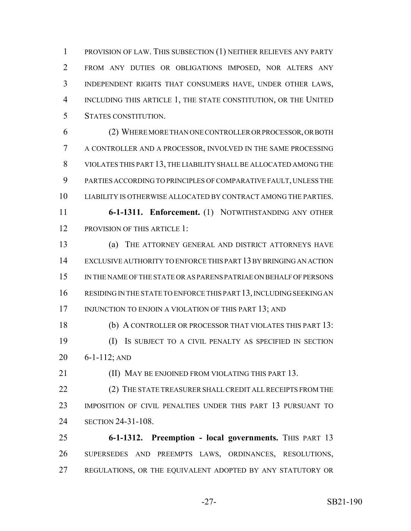PROVISION OF LAW. THIS SUBSECTION (1) NEITHER RELIEVES ANY PARTY FROM ANY DUTIES OR OBLIGATIONS IMPOSED, NOR ALTERS ANY INDEPENDENT RIGHTS THAT CONSUMERS HAVE, UNDER OTHER LAWS, INCLUDING THIS ARTICLE 1, THE STATE CONSTITUTION, OR THE UNITED STATES CONSTITUTION.

 (2) WHERE MORE THAN ONE CONTROLLER OR PROCESSOR, OR BOTH A CONTROLLER AND A PROCESSOR, INVOLVED IN THE SAME PROCESSING VIOLATES THIS PART 13, THE LIABILITY SHALL BE ALLOCATED AMONG THE PARTIES ACCORDING TO PRINCIPLES OF COMPARATIVE FAULT, UNLESS THE LIABILITY IS OTHERWISE ALLOCATED BY CONTRACT AMONG THE PARTIES. **6-1-1311. Enforcement.** (1) NOTWITHSTANDING ANY OTHER

12 PROVISION OF THIS ARTICLE 1:

 (a) THE ATTORNEY GENERAL AND DISTRICT ATTORNEYS HAVE EXCLUSIVE AUTHORITY TO ENFORCE THIS PART 13 BY BRINGING AN ACTION IN THE NAME OF THE STATE OR AS PARENS PATRIAE ON BEHALF OF PERSONS RESIDING IN THE STATE TO ENFORCE THIS PART 13, INCLUDING SEEKING AN 17 INJUNCTION TO ENJOIN A VIOLATION OF THIS PART 13; AND

 (b) A CONTROLLER OR PROCESSOR THAT VIOLATES THIS PART 13: (I) IS SUBJECT TO A CIVIL PENALTY AS SPECIFIED IN SECTION 6-1-112; AND

**III) MAY BE ENJOINED FROM VIOLATING THIS PART 13.** 

22 (2) THE STATE TREASURER SHALL CREDIT ALL RECEIPTS FROM THE IMPOSITION OF CIVIL PENALTIES UNDER THIS PART 13 PURSUANT TO SECTION 24-31-108.

 **6-1-1312. Preemption - local governments.** THIS PART 13 SUPERSEDES AND PREEMPTS LAWS, ORDINANCES, RESOLUTIONS, REGULATIONS, OR THE EQUIVALENT ADOPTED BY ANY STATUTORY OR